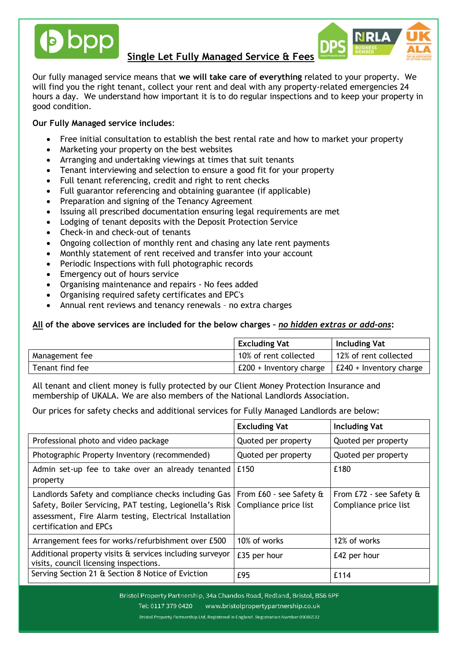

Our fully managed service means that **we will take care of everything** related to your property. We will find you the right tenant, collect your rent and deal with any property-related emergencies 24 hours a day. We understand how important it is to do regular inspections and to keep your property in good condition.

Dbc

## **Our Fully Managed service includes**:

- Free initial consultation to establish the best rental rate and how to market your property
- Marketing your property on the best websites
- Arranging and undertaking viewings at times that suit tenants
- Tenant interviewing and selection to ensure a good fit for your property
- Full tenant referencing, credit and right to rent checks
- Full guarantor referencing and obtaining guarantee (if applicable)
- Preparation and signing of the Tenancy Agreement
- Issuing all prescribed documentation ensuring legal requirements are met
- Lodging of tenant deposits with the Deposit Protection Service
- Check-in and check-out of tenants
- Ongoing collection of monthly rent and chasing any late rent payments
- Monthly statement of rent received and transfer into your account
- Periodic Inspections with full photographic records
- Emergency out of hours service
- Organising maintenance and repairs No fees added
- Organising required safety certificates and EPC's
- Annual rent reviews and tenancy renewals no extra charges

#### **All of the above services are included for the below charges –** *no hidden extras or add-ons***:**

|                 | <b>Excluding Vat</b>    | <b>Including Vat</b>            |
|-----------------|-------------------------|---------------------------------|
| Management fee  | 10% of rent collected   | 12% of rent collected           |
| Tenant find fee | £200 + Inventory charge | $\vert$ £240 + Inventory charge |

All tenant and client money is fully protected by our Client Money Protection Insurance and membership of UKALA. We are also members of the National Landlords Association.

Our prices for safety checks and additional services for Fully Managed Landlords are below:

|                                                                                                                                                                                                       | <b>Excluding Vat</b>                             | <b>Including Vat</b>                             |
|-------------------------------------------------------------------------------------------------------------------------------------------------------------------------------------------------------|--------------------------------------------------|--------------------------------------------------|
| Professional photo and video package                                                                                                                                                                  | Quoted per property                              | Quoted per property                              |
| Photographic Property Inventory (recommended)                                                                                                                                                         | Quoted per property                              | Quoted per property                              |
| Admin set-up fee to take over an already tenanted<br>property                                                                                                                                         | £150                                             | £180                                             |
| Landlords Safety and compliance checks including Gas<br>Safety, Boiler Servicing, PAT testing, Legionella's Risk<br>assessment, Fire Alarm testing, Electrical Installation<br>certification and EPCs | From £60 - see Safety &<br>Compliance price list | From £72 - see Safety &<br>Compliance price list |
| Arrangement fees for works/refurbishment over £500                                                                                                                                                    | 10% of works                                     | 12% of works                                     |
| Additional property visits & services including surveyor<br>visits, council licensing inspections.                                                                                                    | £35 per hour                                     | £42 per hour                                     |
| Serving Section 21 & Section 8 Notice of Eviction                                                                                                                                                     | £95                                              | £114                                             |

Bristol Property Partnership, 34a Chandos Road, Redland, Bristol, BS6 6PF Tel: 0117 379 0420 www.bristolpropertypartnership.co.uk Bristol Property Partnership Ltd, Registered in England. Registration Number 09006532